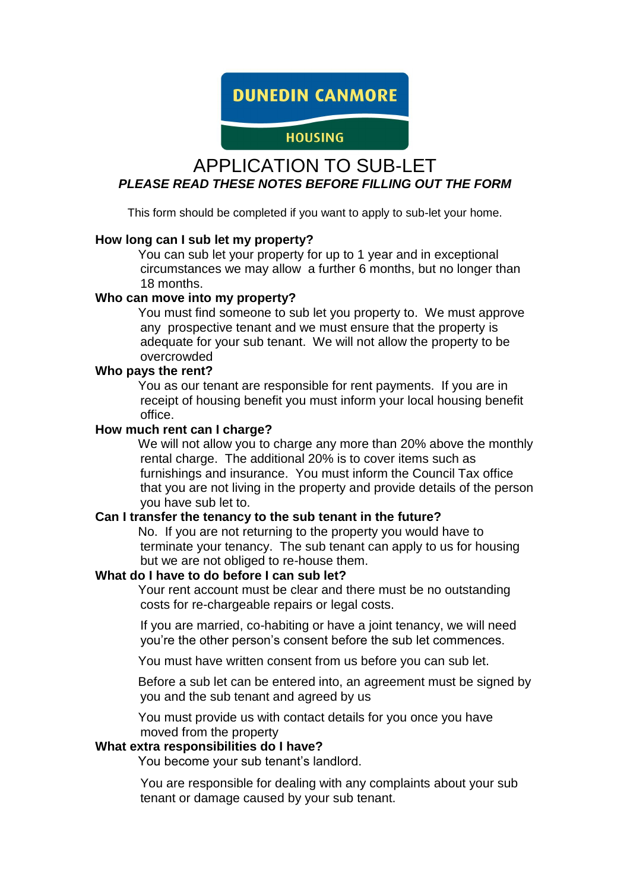**DUNEDIN CANMORE** 

# **HOUSING**

# APPLICATION TO SUB-LET *PLEASE READ THESE NOTES BEFORE FILLING OUT THE FORM*

This form should be completed if you want to apply to sub-let your home.

#### **How long can I sub let my property?**

You can sub let your property for up to 1 year and in exceptional circumstances we may allow a further 6 months, but no longer than 18 months.

#### **Who can move into my property?**

You must find someone to sub let you property to. We must approve any prospective tenant and we must ensure that the property is adequate for your sub tenant. We will not allow the property to be overcrowded

#### **Who pays the rent?**

You as our tenant are responsible for rent payments. If you are in receipt of housing benefit you must inform your local housing benefit office.

#### **How much rent can I charge?**

We will not allow you to charge any more than 20% above the monthly rental charge. The additional 20% is to cover items such as furnishings and insurance. You must inform the Council Tax office that you are not living in the property and provide details of the person you have sub let to.

#### **Can I transfer the tenancy to the sub tenant in the future?**

No. If you are not returning to the property you would have to terminate your tenancy. The sub tenant can apply to us for housing but we are not obliged to re-house them.

#### **What do I have to do before I can sub let?**

Your rent account must be clear and there must be no outstanding costs for re-chargeable repairs or legal costs.

If you are married, co-habiting or have a joint tenancy, we will need you're the other person's consent before the sub let commences.

You must have written consent from us before you can sub let.

Before a sub let can be entered into, an agreement must be signed by you and the sub tenant and agreed by us

You must provide us with contact details for you once you have moved from the property

### **What extra responsibilities do I have?**

You become your sub tenant's landlord.

You are responsible for dealing with any complaints about your sub tenant or damage caused by your sub tenant.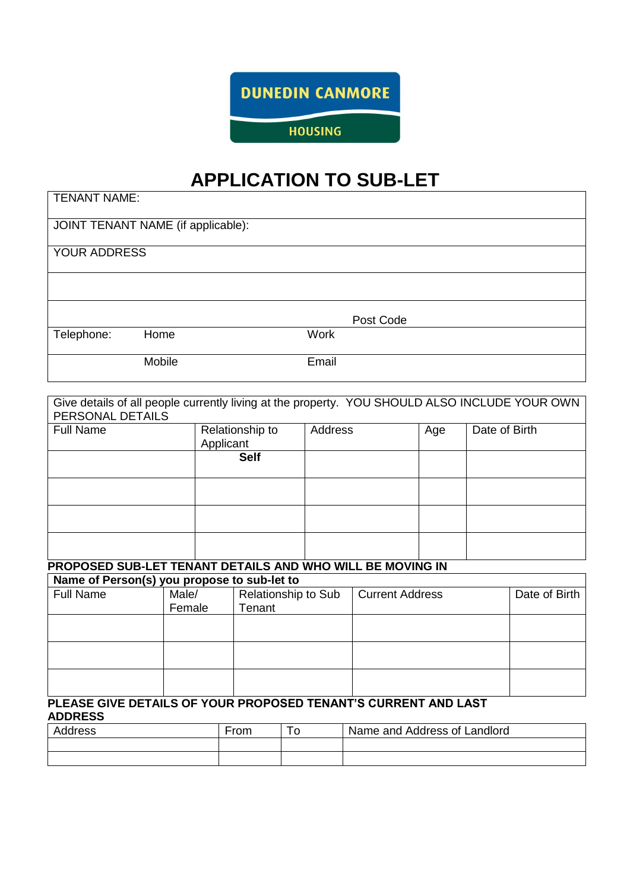**DUNEDIN CANMORE** 

**HOUSING** 

# **APPLICATION TO SUB-LET**

 $\overline{\phantom{a}}$ 

| <b>TENANT NAME:</b> |                                    |             |           |  |
|---------------------|------------------------------------|-------------|-----------|--|
|                     | JOINT TENANT NAME (if applicable): |             |           |  |
| YOUR ADDRESS        |                                    |             |           |  |
|                     |                                    |             |           |  |
|                     |                                    |             | Post Code |  |
| Telephone:          | Home                               | <b>Work</b> |           |  |
|                     | Mobile                             | Email       |           |  |

| Give details of all people currently living at the property. YOU SHOULD ALSO INCLUDE YOUR OWN<br>PERSONAL DETAILS |                 |                              |                     |                              |     |               |               |
|-------------------------------------------------------------------------------------------------------------------|-----------------|------------------------------|---------------------|------------------------------|-----|---------------|---------------|
| <b>Full Name</b>                                                                                                  |                 | Relationship to<br>Applicant | Address             |                              | Age | Date of Birth |               |
|                                                                                                                   |                 | <b>Self</b>                  |                     |                              |     |               |               |
|                                                                                                                   |                 |                              |                     |                              |     |               |               |
|                                                                                                                   |                 |                              |                     |                              |     |               |               |
|                                                                                                                   |                 |                              |                     |                              |     |               |               |
| PROPOSED SUB-LET TENANT DETAILS AND WHO WILL BE MOVING IN<br>Name of Person(s) you propose to sub-let to          |                 |                              |                     |                              |     |               |               |
| <b>Full Name</b>                                                                                                  | Male/<br>Female | Tenant                       | Relationship to Sub | <b>Current Address</b>       |     |               | Date of Birth |
|                                                                                                                   |                 |                              |                     |                              |     |               |               |
|                                                                                                                   |                 |                              |                     |                              |     |               |               |
|                                                                                                                   |                 |                              |                     |                              |     |               |               |
| PLEASE GIVE DETAILS OF YOUR PROPOSED TENANT'S CURRENT AND LAST<br><b>ADDRESS</b>                                  |                 |                              |                     |                              |     |               |               |
| Address                                                                                                           |                 | From                         | To                  | Name and Address of Landlord |     |               |               |